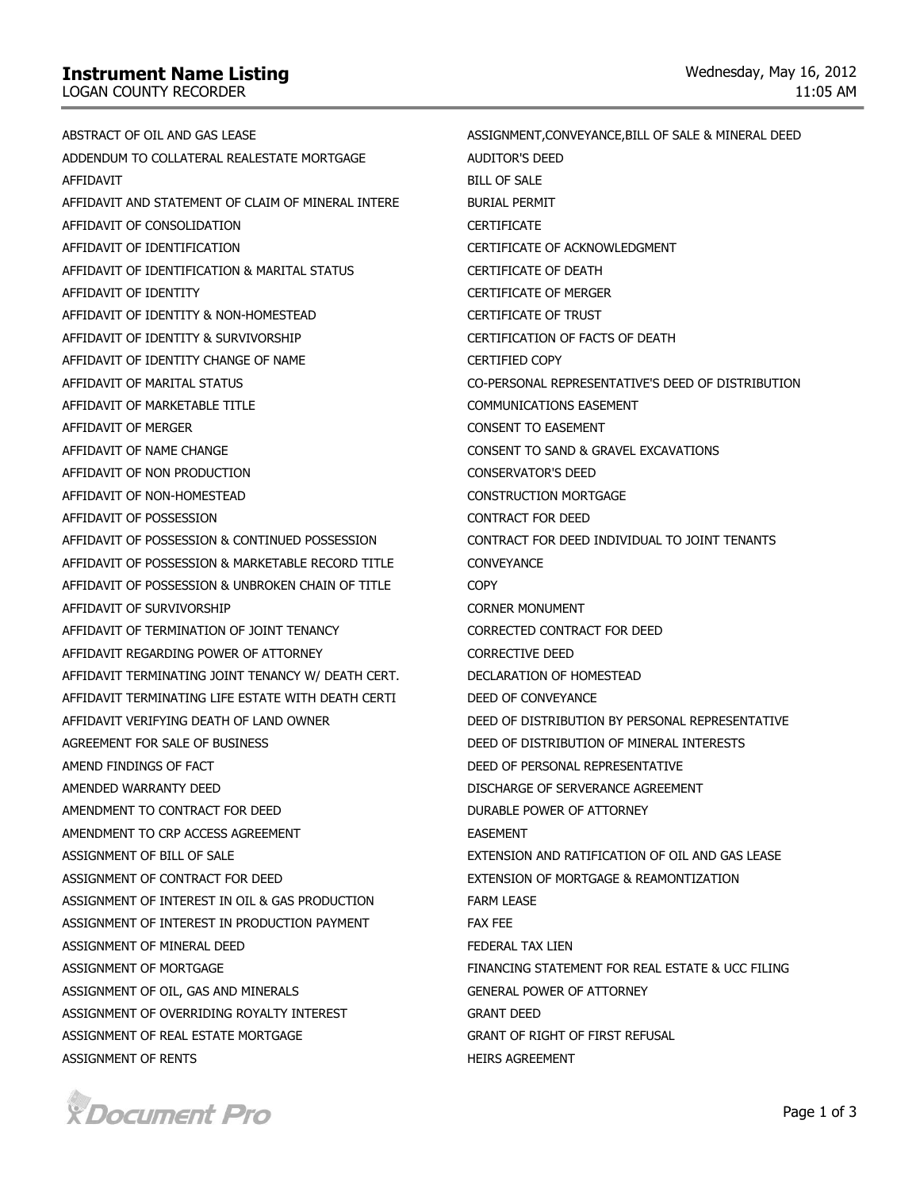## **Instrument Name Listing**

LOGAN COUNTY RECORDER

ABSTRACT OF OIL AND GAS LEASE ADDENDUM TO COLLATERAL REALESTATE MORTGAGE **AFFIDAVIT** AFFIDAVIT AND STATEMENT OF CLAIM OF MINERAL INTERE AFFIDAVIT OF CONSOLIDATION AFFIDAVIT OF IDENTIFICATION AFFIDAVIT OF IDENTIFICATION & MARITAL STATUS AFFIDAVIT OF IDENTITY AFFIDAVIT OF IDENTITY & NON-HOMESTEAD AFFIDAVIT OF IDENTITY & SURVIVORSHIP AFFIDAVIT OF IDENTITY CHANGE OF NAME AFFIDAVIT OF MARITAL STATUS AFFIDAVIT OF MARKETABLE TITLE AFFIDAVIT OF MERGER AFFIDAVIT OF NAME CHANGE AFFIDAVIT OF NON PRODUCTION AFFIDAVIT OF NON-HOMESTEAD AFFIDAVIT OF POSSESSION AFFIDAVIT OF POSSESSION & CONTINUED POSSESSION AFFIDAVIT OF POSSESSION & MARKETABLE RECORD TITLE AFFIDAVIT OF POSSESSION & UNBROKEN CHAIN OF TITLE AFFIDAVIT OF SURVIVORSHIP AFFIDAVIT OF TERMINATION OF JOINT TENANCY AFFIDAVIT REGARDING POWER OF ATTORNEY AFFIDAVIT TERMINATING JOINT TENANCY W/ DEATH CERT. AFFIDAVIT TERMINATING LIFE ESTATE WITH DEATH CERTI AFFIDAVIT VERIFYING DEATH OF LAND OWNER AGREEMENT FOR SALE OF BUSINESS AMEND FINDINGS OF FACT AMENDED WARRANTY DEED AMENDMENT TO CONTRACT FOR DEED AMENDMENT TO CRP ACCESS AGREEMENT ASSIGNMENT OF BILL OF SALE ASSIGNMENT OF CONTRACT FOR DEED ASSIGNMENT OF INTEREST IN OIL & GAS PRODUCTION ASSIGNMENT OF INTEREST IN PRODUCTION PAYMENT ASSIGNMENT OF MINERAL DFFD ASSIGNMENT OF MORTGAGE ASSIGNMENT OF OIL, GAS AND MINERALS ASSIGNMENT OF OVERRIDING ROYALTY INTEREST ASSIGNMENT OF REAL ESTATE MORTGAGE ASSIGNMENT OF RENTS ASSIGNMENT,CONVEYANCE,BILL OF SALE & MINERAL DEED AUDITOR'S DEED BILL OF SALE BURIAL PERMIT CERTIFICATE CERTIFICATE OF ACKNOWLEDGMENT CERTIFICATE OF DEATH CERTIFICATE OF MERGER CERTIFICATE OF TRUST CERTIFICATION OF FACTS OF DEATH CERTIFIED COPY CO-PERSONAL REPRESENTATIVE'S DEED OF DISTRIBUTION COMMUNICATIONS EASEMENT CONSENT TO EASEMENT CONSENT TO SAND & GRAVEL EXCAVATIONS CONSERVATOR'S DEED CONSTRUCTION MORTGAGE CONTRACT FOR DEED CONTRACT FOR DEED INDIVIDUAL TO JOINT TENANTS **CONVEYANCE COPY** CORNER MONUMENT CORRECTED CONTRACT FOR DEED CORRECTIVE DEED DECLARATION OF HOMESTEAD DEED OF CONVEYANCE DEED OF DISTRIBUTION BY PERSONAL REPRESENTATIVE DEED OF DISTRIBUTION OF MINERAL INTERESTS DEED OF PERSONAL REPRESENTATIVE DISCHARGE OF SERVERANCE AGREEMENT DURABLE POWER OF ATTORNEY EASEMENT EXTENSION AND RATIFICATION OF OIL AND GAS LEASE EXTENSION OF MORTGAGE & REAMONTIZATION FARM LEASE FAX FEE FEDERAL TAX LIEN FINANCING STATEMENT FOR REAL ESTATE & UCC FILING GENERAL POWER OF ATTORNEY GRANT DEED GRANT OF RIGHT OF FIRST REFUSAL HEIRS AGREEMENT

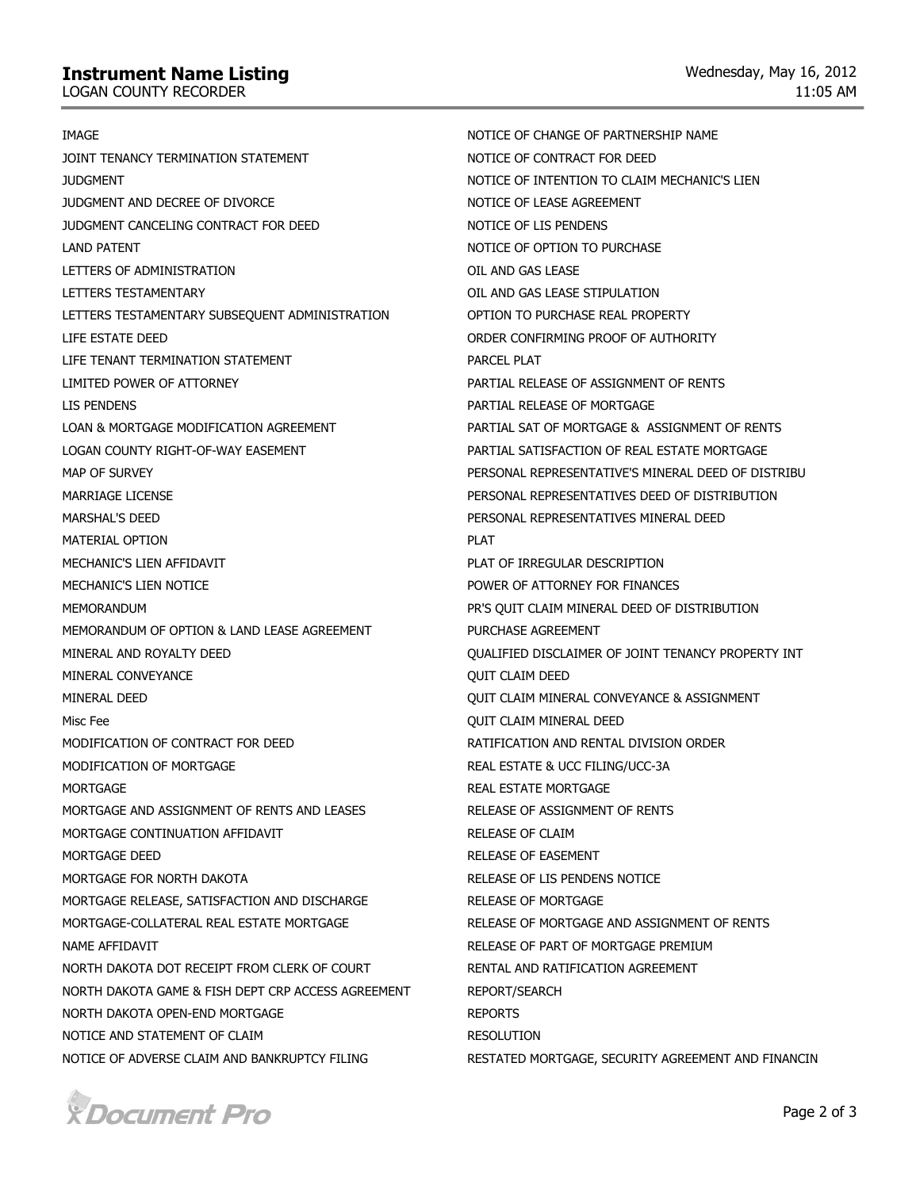## **Instrument Name Listing**

LOGAN COUNTY RECORDER

IMAGE JOINT TENANCY TERMINATION STATEMENT JUDGMENT JUDGMENT AND DECREE OF DIVORCE JUDGMENT CANCELING CONTRACT FOR DEED LAND PATENT LETTERS OF ADMINISTRATION LETTERS TESTAMENTARY LETTERS TESTAMENTARY SUBSEQUENT ADMINISTRATION LIFE ESTATE DEED LIFE TENANT TERMINATION STATEMENT LIMITED POWER OF ATTORNEY LIS PENDENS LOAN & MORTGAGE MODIFICATION AGREEMENT LOGAN COUNTY RIGHT-OF-WAY EASEMENT MAP OF SURVEY MARRIAGE LICENSE MARSHAL'S DEED MATERIAL OPTION MECHANIC'S LIEN AFFIDAVIT MECHANIC'S LIEN NOTICE MEMORANDI IM MEMORANDUM OF OPTION & LAND LEASE AGREEMENT MINERAL AND ROYALTY DEED MINERAL CONVEYANCE MINERAL DEED Misc Fee MODIFICATION OF CONTRACT FOR DEED MODIFICATION OF MORTGAGE **MORTGAGE** MORTGAGE AND ASSIGNMENT OF RENTS AND LEASES MORTGAGE CONTINUATION AFFIDAVIT MORTGAGE DEED MORTGAGE FOR NORTH DAKOTA MORTGAGE RELEASE, SATISFACTION AND DISCHARGE MORTGAGE-COLLATERAL REAL ESTATE MORTGAGE NAME AFFIDAVIT NORTH DAKOTA DOT RECEIPT FROM CLERK OF COURT NORTH DAKOTA GAME & FISH DEPT CRP ACCESS AGREEMENT NORTH DAKOTA OPEN-END MORTGAGE NOTICE AND STATEMENT OF CLAIM NOTICE OF ADVERSE CLAIM AND BANKRUPTCY FILING NOTICE OF CHANGE OF PARTNERSHIP NAME NOTICE OF CONTRACT FOR DEED NOTICE OF INTENTION TO CLAIM MECHANIC'S LIEN NOTICE OF LEASE AGREEMENT NOTICE OF LIS PENDENS NOTICE OF OPTION TO PURCHASE OIL AND GAS LEASE OIL AND GAS LEASE STIPULATION OPTION TO PURCHASE REAL PROPERTY ORDER CONFIRMING PROOF OF AUTHORITY PARCEL PLAT PARTIAL RELEASE OF ASSIGNMENT OF RENTS PARTIAL RELEASE OF MORTGAGE PARTIAL SAT OF MORTGAGE & ASSIGNMENT OF RENTS PARTIAL SATISFACTION OF REAL ESTATE MORTGAGE PERSONAL REPRESENTATIVE'S MINERAL DEED OF DISTRIBU PERSONAL REPRESENTATIVES DEED OF DISTRIBUTION PERSONAL REPRESENTATIVES MINERAL DEED PLAT PLAT OF IRREGULAR DESCRIPTION POWER OF ATTORNEY FOR FINANCES PR'S QUIT CLAIM MINERAL DEED OF DISTRIBUTION PURCHASE AGREEMENT QUALIFIED DISCLAIMER OF JOINT TENANCY PROPERTY INT QUIT CLAIM DEED QUIT CLAIM MINERAL CONVEYANCE & ASSIGNMENT QUIT CLAIM MINERAL DEED RATIFICATION AND RENTAL DIVISION ORDER REAL ESTATE & UCC FILING/UCC-3A REAL ESTATE MORTGAGE RELEASE OF ASSIGNMENT OF RENTS RELEASE OF CLAIM RELEASE OF EASEMENT RELEASE OF LIS PENDENS NOTICE RELEASE OF MORTGAGE RELEASE OF MORTGAGE AND ASSIGNMENT OF RENTS RELEASE OF PART OF MORTGAGE PREMIUM RENTAL AND RATIFICATION AGREEMENT REPORT/SEARCH REPORTS RESOLUTION RESTATED MORTGAGE, SECURITY AGREEMENT AND FINANCIN